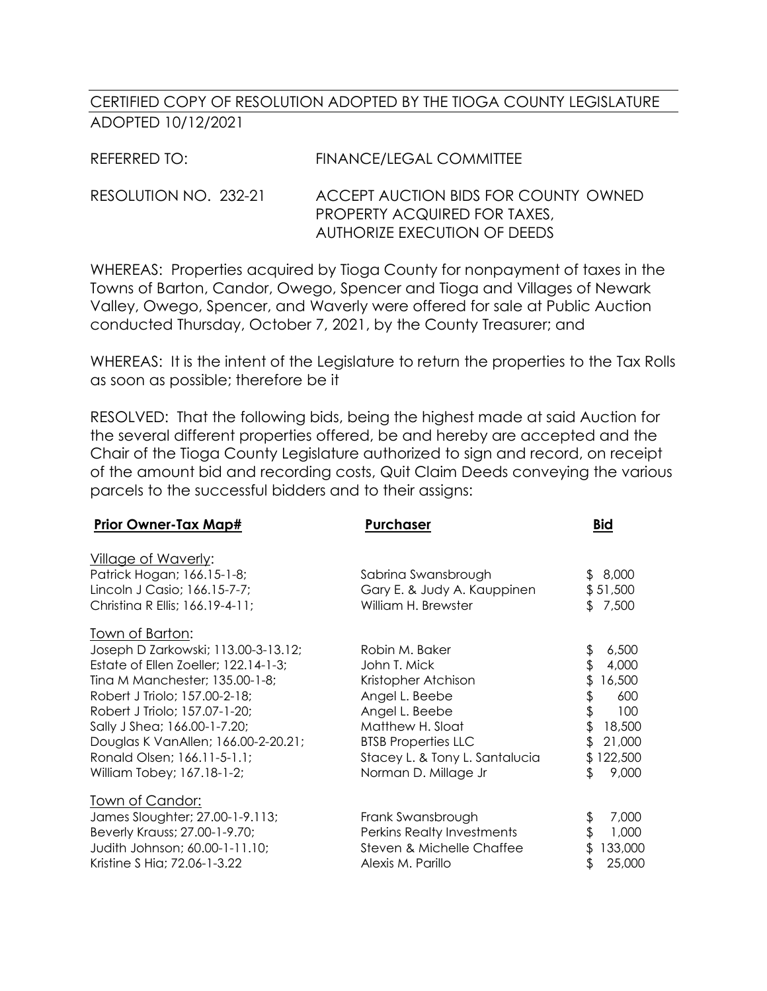## CERTIFIED COPY OF RESOLUTION ADOPTED BY THE TIOGA COUNTY LEGISLATURE ADOPTED 10/12/2021

| REFERRED TO:          | FINANCE/LEGAL COMMITTEE              |
|-----------------------|--------------------------------------|
| RESOLUTION NO. 232-21 | ACCEPT AUCTION BIDS FOR COUNTY OWNED |

PROPERTY ACQUIRED FOR TAXES, AUTHORIZE EXECUTION OF DEEDS

WHEREAS: Properties acquired by Tioga County for nonpayment of taxes in the Towns of Barton, Candor, Owego, Spencer and Tioga and Villages of Newark Valley, Owego, Spencer, and Waverly were offered for sale at Public Auction conducted Thursday, October 7, 2021, by the County Treasurer; and

WHEREAS: It is the intent of the Legislature to return the properties to the Tax Rolls as soon as possible; therefore be it

RESOLVED: That the following bids, being the highest made at said Auction for the several different properties offered, be and hereby are accepted and the Chair of the Tioga County Legislature authorized to sign and record, on receipt of the amount bid and recording costs, Quit Claim Deeds conveying the various parcels to the successful bidders and to their assigns:

| <b>Prior Owner-Tax Map#</b>          | Purchaser                      | <b>Bid</b>    |
|--------------------------------------|--------------------------------|---------------|
| <u>Village of Waverly:</u>           |                                |               |
| Patrick Hogan; 166.15-1-8;           | Sabrina Swansbrough            | \$8,000       |
| Lincoln J Casio; 166.15-7-7;         | Gary E. & Judy A. Kauppinen    | \$51,500      |
| Christina R Ellis; 166.19-4-11;      | William H. Brewster            | \$7,500       |
| <u> Town of Barton:</u>              |                                |               |
| Joseph D Zarkowski; 113.00-3-13.12;  | Robin M. Baker                 | \$<br>6,500   |
| Estate of Ellen Zoeller; 122.14-1-3; | John T. Mick                   | \$<br>4,000   |
| Tina M Manchester; 135.00-1-8;       | Kristopher Atchison            | \$<br>16,500  |
| Robert J Triolo; 157.00-2-18;        | Angel L. Beebe                 | \$<br>600     |
| Robert J Triolo; 157.07-1-20;        | Angel L. Beebe                 | \$<br>100     |
| Sally J Shea; 166.00-1-7.20;         | Matthew H. Sloat               | \$<br>18,500  |
| Douglas K VanAllen; 166.00-2-20.21;  | <b>BTSB Properties LLC</b>     | \$<br>21,000  |
| Ronald Olsen; 166.11-5-1.1;          | Stacey L. & Tony L. Santalucia | \$122,500     |
| William Tobey; 167.18-1-2;           | Norman D. Millage Jr           | \$<br>9,000   |
| <u>Town of Candor:</u>               |                                |               |
| James Sloughter; 27.00-1-9.113;      | Frank Swansbrough              | \$<br>7,000   |
| Beverly Krauss; 27.00-1-9.70;        | Perkins Realty Investments     | \$<br>1,000   |
| Judith Johnson; 60.00-1-11.10;       | Steven & Michelle Chaffee      | 133,000<br>\$ |
| Kristine S Hia; 72.06-1-3.22         | Alexis M. Parillo              | \$<br>25,000  |
|                                      |                                |               |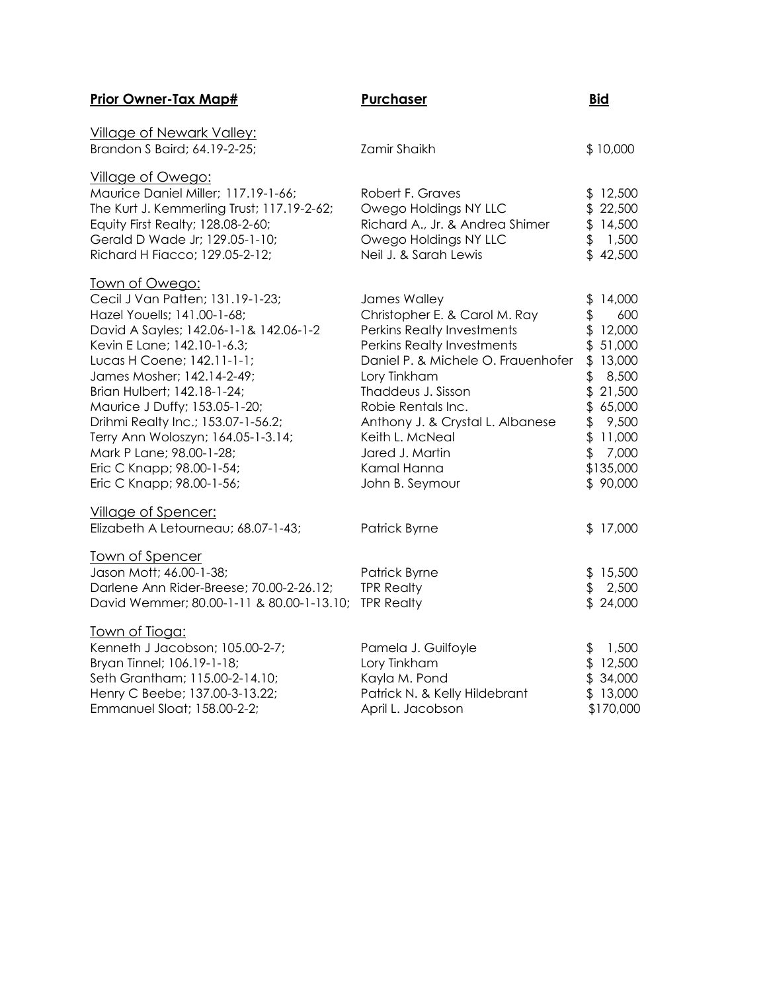| <b>Prior Owner-Tax Map#</b>                                                                                                                                                                                                                                                                                                                                                                                                                                     | <b>Purchaser</b>                                                                                                                                                                                                                                                                                                        | <b>Bid</b>                                                                                                                                                                   |
|-----------------------------------------------------------------------------------------------------------------------------------------------------------------------------------------------------------------------------------------------------------------------------------------------------------------------------------------------------------------------------------------------------------------------------------------------------------------|-------------------------------------------------------------------------------------------------------------------------------------------------------------------------------------------------------------------------------------------------------------------------------------------------------------------------|------------------------------------------------------------------------------------------------------------------------------------------------------------------------------|
| <b>Village of Newark Valley:</b><br>Brandon S Baird; 64.19-2-25;                                                                                                                                                                                                                                                                                                                                                                                                | Zamir Shaikh                                                                                                                                                                                                                                                                                                            | \$10,000                                                                                                                                                                     |
| <b>Village of Owego:</b><br>Maurice Daniel Miller; 117.19-1-66;<br>The Kurt J. Kemmerling Trust; 117.19-2-62;<br>Equity First Realty; 128.08-2-60;<br>Gerald D Wade Jr; 129.05-1-10;<br>Richard H Fiacco; 129.05-2-12;                                                                                                                                                                                                                                          | Robert F. Graves<br>Owego Holdings NY LLC<br>Richard A., Jr. & Andrea Shimer<br>Owego Holdings NY LLC<br>Neil J. & Sarah Lewis                                                                                                                                                                                          | \$12,500<br>\$22,500<br>\$14,500<br>\$<br>1,500<br>\$42,500                                                                                                                  |
| <u>Town of Owego:</u><br>Cecil J Van Patten; 131.19-1-23;<br>Hazel Youells; 141.00-1-68;<br>David A Sayles; 142.06-1-1& 142.06-1-2<br>Kevin E Lane; 142.10-1-6.3;<br>Lucas H Coene; 142.11-1-1;<br>James Mosher; 142.14-2-49;<br>Brian Hulbert; 142.18-1-24;<br>Maurice J Duffy; 153.05-1-20;<br>Drihmi Realty Inc.; 153.07-1-56.2;<br>Terry Ann Woloszyn; 164.05-1-3.14;<br>Mark P Lane; 98.00-1-28;<br>Eric C Knapp; 98.00-1-54;<br>Eric C Knapp; 98.00-1-56; | James Walley<br>Christopher E. & Carol M. Ray<br>Perkins Realty Investments<br>Perkins Realty Investments<br>Daniel P. & Michele O. Frauenhofer<br>Lory Tinkham<br>Thaddeus J. Sisson<br>Robie Rentals Inc.<br>Anthony J. & Crystal L. Albanese<br>Keith L. McNeal<br>Jared J. Martin<br>Kamal Hanna<br>John B. Seymour | 14,000<br>\$<br>\$<br>600<br>\$12,000<br>\$ 51,000<br>\$13,000<br>8,500<br>\$<br>\$21,500<br>\$65,000<br>\$<br>9,500<br>\$<br>11,000<br>\$<br>7,000<br>\$135,000<br>\$90,000 |
| Village of Spencer:<br>Elizabeth A Letourneau; 68.07-1-43;                                                                                                                                                                                                                                                                                                                                                                                                      | Patrick Byrne                                                                                                                                                                                                                                                                                                           | \$17,000                                                                                                                                                                     |
| Town of Spencer<br>Jason Mott; 46.00-1-38;<br>Darlene Ann Rider-Breese; 70.00-2-26.12;<br>David Wemmer; 80.00-1-11 & 80.00-1-13.10;                                                                                                                                                                                                                                                                                                                             | Patrick Byrne<br><b>TPR Realty</b><br><b>TPR Realty</b>                                                                                                                                                                                                                                                                 | \$15,500<br>2,500<br>\$<br>\$24,000                                                                                                                                          |
| <u>Town of Tioga:</u><br>Kenneth J Jacobson; 105.00-2-7;<br>Bryan Tinnel; 106.19-1-18;<br>Seth Grantham; 115.00-2-14.10;<br>Henry C Beebe; 137.00-3-13.22;<br>Emmanuel Sloat; 158.00-2-2;                                                                                                                                                                                                                                                                       | Pamela J. Guilfoyle<br>Lory Tinkham<br>Kayla M. Pond<br>Patrick N. & Kelly Hildebrant<br>April L. Jacobson                                                                                                                                                                                                              | 1,500<br>\$<br>\$12,500<br>\$34,000<br>\$13,000<br>\$170,000                                                                                                                 |